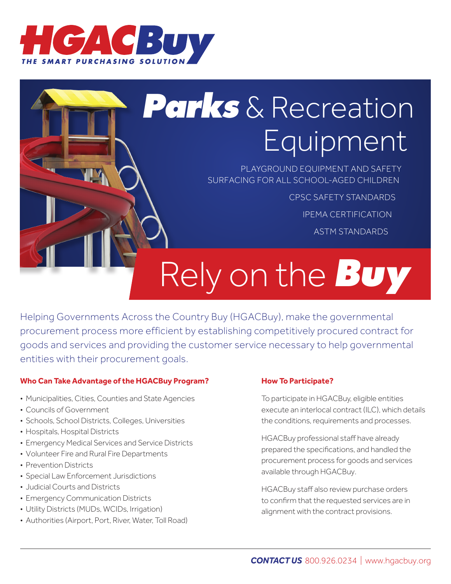

# *Parks* & Recreation Equipment

PLAYGROUND EQUIPMENT AND SAFETY SURFACING FOR ALL SCHOOL-AGED CHILDREN

CPSC SAFETY STANDARDS

IPEMA CERTIFICATION

ASTM STANDARDS

# Rely on the *Buy*

Helping Governments Across the Country Buy (HGACBuy), make the governmental procurement process more efficient by establishing competitively procured contract for goods and services and providing the customer service necessary to help governmental entities with their procurement goals.

## **Who Can Take Advantage of the HGACBuy Program?**

- Municipalities, Cities, Counties and State Agencies
- Councils of Government
- Schools, School Districts, Colleges, Universities
- Hospitals, Hospital Districts
- Emergency Medical Services and Service Districts
- Volunteer Fire and Rural Fire Departments
- Prevention Districts
- Special Law Enforcement Jurisdictions
- Judicial Courts and Districts
- Emergency Communication Districts
- Utility Districts (MUDs, WCIDs, Irrigation)
- Authorities (Airport, Port, River, Water, Toll Road)

### **How To Participate?**

To participate in HGACBuy, eligible entities execute an interlocal contract (ILC), which details the conditions, requirements and processes.

HGACBuy professional staff have already prepared the specifications, and handled the procurement process for goods and services available through HGACBuy.

HGACBuy staff also review purchase orders to confirm that the requested services are in alignment with the contract provisions.